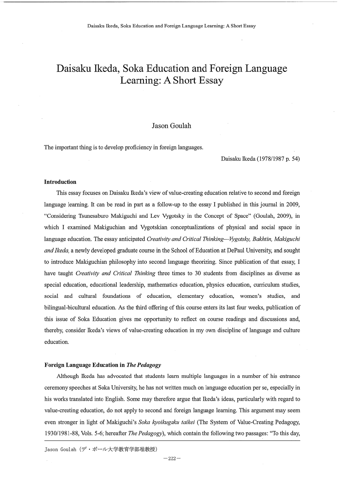# Daisaku Ikeda, Soka Education and Foreign Language Learning: A Short Essay

# Jason Goulah

The important thing is to develop proficiency in foreign languages.

Daisaku Ikeda (1978/1987 p. 54)

#### Introduction

This essay focuses on Daisaku Ikeda's view of value-creating education relative to second and foreign language learning. It can be read in part as a follow-up to the essay I published in this journal in 2009, "Considering Tsunesaburo Makiguchi and Lev Vygotsky in the Concept of Space" (Goulah , 2009), in which I examined Makiguchian and Vygotskian conceptualizations of physical and social space in language education. The essay anticipated Creativity and Critical Thinking—Vygotsky, Bakhtin, Makiguchi and Ikeda, a newly developed graduate course in the School of Education at DePaul University, and sought to introduce Makiguchian philosophy into second language theorizing. Since publication of that essay, I have taught Creativity and Critical Thinking three times to 30 students from disciplines as diverse as special education, educational leadership, mathematics education, physics education, curriculum studies, social and cultural foundations of education, elementary education, women's studies, and bilingual-bicultural education. As the third offering of this course enters its last four weeks, publication of this issue of Soka Education gives me opportunity to reflect on course readings and discussions and, thereby, consider Ikeda's views of value-creating education in my own discipline of language and culture education.

## Foreign Language Education in The Pedagogy

Although Ikeda has advocated that students learn multiple languages in a number of his entrance ceremony speeches at Soka University, he has not written much on language education per se, especially in his works translated into English. Some may therefore argue that Ikeda's ideas, particularly with regard to value-creating education, do not apply to second and foreign language learning. This argument may seem even stronger in light of Makiguchi's Soka kyoikugaku taikei (The System of Value-Creating Pedagogy, 1930/1981-88, Vols. 5-6; hereafter The Pedagogy), which contain the following two passages: "To this day,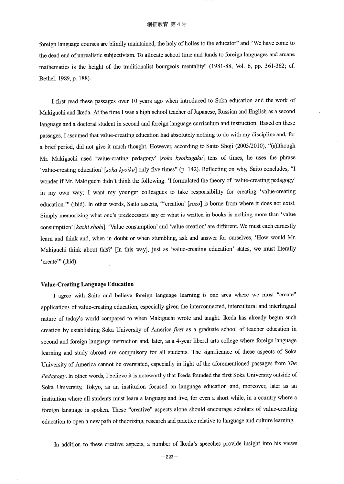foreign language courses are blindly maintained, the holy of holies to the educator" and "We have come to the dead end of unrealistic subjectivism. To allocate school time and funds to foreign languages and arcane mathematics is the height of the traditionalist bourgeois mentality" (1981-88, Vol. 6, pp. 361-362; cf. Bethel, 1989, p. 188).

 I first read these passages over 10 years ago when introduced to Soka education and the work of Makiguchi and Ikeda. At the time I was a high school teacher of Japanese, Russian and English as a second language and a doctoral student in second and foreign language curriculum and instruction. Based on these passages, I assumed that value-creating education had absolutely nothing to do with my discipline and, for a brief period, did not give it much thought. However, according to Saito Shoji (2003/2010), "(a)lthough Mr. Makiguchi used 'value-crating pedagogy' [soka kyoikugaku] tens of times, he uses the phrase 'value-creating education' [soka kyoiku] only five times" (p. 142). Reflecting on why, Saito concludes, "I wonder if Mr. Makiguchi didn't think the following: 'I formulated the theory of 'value-creating pedagogy' in my own way; I want my younger colleagues to take responsibility for creating `value-creating education.'" (ibid). In other words, Saito asserts, "'creation' [sozo] is borne from where it does not exist. Simply memorizing what one's predecessors say or what is written in books is nothing more than `value consumption' [kachi shohi]. 'Value consumption' and 'value creation' are different. We must each earnestly learn and think and, when in doubt or when stumbling, ask and answer for ourselves, `How would Mr. Makiguchi think about this?' [In this way], just as 'value-creating education' states, we must literally 'create'" (ibid).

#### Value-Creating Language Education

I agree with Saito and believe foreign language learning is one area where we must "create" applications of value-creating education, especially given the interconnected, intercultural and interlingual nature of today's world compared to when Makiguchi wrote and taught. Ikeda has already begun such creation by establishing Soka University of America first as a graduate school of teacher education in second and foreign language instruction and, later, as a 4-year liberal arts college where foreign language learning and study abroad are compulsory for all students. The significance of these aspects of Soka University of America cannot be overstated, especially in light of the aforementioned passages from The Pedagogy. In other words, I believe it is noteworthy that Ikeda founded the first Soka University outside of Soka University, Tokyo, as an institution focused on language education and, moreover, later as an institution where all students must learn a language and live, for even a short while, in a country where a foreign language is spoken. These "creative" aspects alone should encourage scholars of value-creating education to open a new path of theorizing, research and practice relative to language and culture learning.

In addition to these creative aspects, a number of Ikeda's speeches provide insight into his views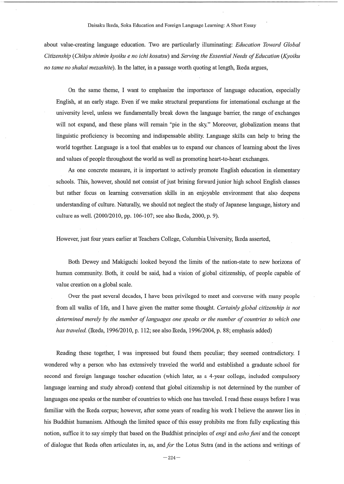#### Daisaku Ikeda, Soka Education and Foreign Language Learning: A Short Essay

about value-creating language education. Two are particularly illuminating: Education Toward Global Citizenship (Chikyu shimin kyoiku e no ichi kosatsu) and Serving the Essential Needs of Education (Kyoiku no tame no shakai mezashite). In the latter, in a passage worth quoting at length, Ikeda argues,

 On the same theme, I want to emphasize the importance of language education, especially English, at an early stage. Even if we make structural preparations for international exchange at the university level, unless we fundamentally break down the language barrier, the range of exchanges will not expand, and these plans will remain "pie in the sky" Moreover, globalization means that linguistic proficiency is becoming and indispensable ability. Language skills can help to bring the world together. Language is a tool that enables us to expand our chances of learning about the lives and values of people throughout the world as well as promoting heart-to-heart exchanges.

As one concrete measure, it is important to actively promote English education in elementary schools. This, however, should not consist of just brining forward junior high school English classes but rather focus on learning conversation skills in an enjoyable environment that also deepens understanding of culture. Naturally, we should not neglect the study of Japanese language, history and culture as well. (2000/2010, pp. 106-107; see also Ikeda, 2000, p. 9).

However, just four years earlier at Teachers College, Columbia University, Ikeda asserted,

 Both Dewey and Makiguchi looked beyond the limits of the nation-state to new horizons of human community. Both, it could be said, had a vision of global citizenship, of people capable of value creation on a global scale.

Over the past several decades, I have been privileged to meet and converse with many people from all walks of life, and I have given the matter some thought. Certainly global citizenship is not determined merely by the number of languages one speaks or the number of countries to which one has traveled. (Ikeda, 1996/2010, p. 112; see also Ikeda, 1996/2004, p. 88; emphasis added)

Reading these together, I was impressed but found them peculiar; they seemed contradictory. I wondered why a person who has extensively traveled the world and established a graduate school for second and foreign language teacher education (which later, as a 4-year college, included compulsory language learning and study abroad) contend that global citizenship is not determined by the number of languages one speaks or the number of countries to which one has traveled. I read these essays before I was familiar with the Ikeda corpus; however, after some years of reading his work I believe the answer lies in his Buddhist humanism. Although the limited space of this essay prohibits me from fully explicating this notion, suffice it to say simply that based on the Buddhist principles of *engi* and *esho funi* and the concept of dialogue that Ikeda often articulates in, as, and for the Lotus Sutra (and in the actions and writings of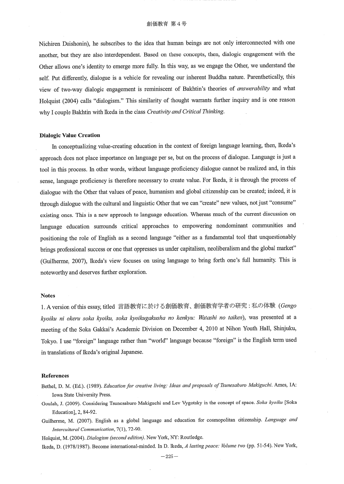Nichiren Daishonin), he subscribes to the idea that human beings are not only interconnected with one another, but they are also interdependent. Based on these concepts, then, dialogic engagement with the Other allows one's identity to emerge more fully. In this way, as we engage the Other, we understand the self. Put differently, dialogue is a vehicle for revealing our inherent Buddha nature. Parenthetically, this view of two-way dialogic engagement is reminiscent of Bakhtin's theories of answerability and what Holquist (2004) calls "dialogism." This similarity of thought warrants further inquiry and is one reason why I couple Bakhtin with Ikeda in the class Creativity and Critical Thinking.

#### Dialogic Value Creation

In conceptualizing value-creating education in the context of foreign language learning, then, Ikeda's approach does not place importance on language per se, but on the process of dialogue. Language is just a tool in this process. In other words, without language proficiency dialogue cannot be realized and, in this sense, language proficiency is therefore necessary to create value. For Ikeda, it is through the process of dialogue with the Other that values of peace, humanism and global citizenship can be created; indeed, it is through dialogue with the cultural and linguistic Other that we can "create" new values, not just "consume" existing ones. This is a new approach to language education. Whereas much of the current discussion on language education surrounds critical approaches to empowering nondominant communities and positioning the role of English as a second language "either as a fundamental tool that unquestionably brings professional success or one that oppresses us under capitalism, neoliberalism and the global market" (Guilherme, 2007), Ikeda's view focuses on using language to bring forth one's full humanity. This is noteworthy and deserves further exploration.

### Notes

1. A version of this essay, titled 言語教育に於ける創価教育、創価教育学者の研究: 私の体験 (Gengo kyoiku ni okeru soka kyoiku, soka kyoikugakusha no kenkyu: Watashi no taiken), was presented at a meeting of the Soka Gakkai's Academic Division on December 4, 2010 at Nihon Youth Hall, Shinjuku, Tokyo. I use "foreign" language rather than "world" language because "foreign" is the English term used in translations of lkeda's original Japanese.

#### References

- Bethel, D. M. (Ed.). (1989). Education for creative living: Ideas and proposals of Tsunesaburo Makiguchi. Ames, IA: Iowa State University Press.
- Goulah, J. (2009). Considering Tsunesaburo Makiguchi and Lev Vygotsky in the concept of space. Soka kyoiku [Soka Education], 2, 84-92.
- Guilherme, M. (2007). English as a global language and education for cosmopolitan citizenship. Language and Intercultural COnnnunication, 7(1), 72-90.

Holquist, M. (2004). Dialogism (second edition). New York, NY: Routledge.

Ikeda, D. (1978/1987). Become international-minded. In D. Ikeda, A lasting peace: Volume two (pp. 51-54). New York,